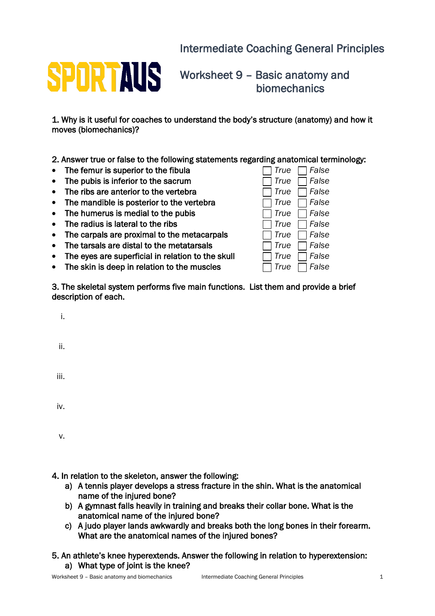## Intermediate Coaching General Principles



Worksheet 9 – Basic anatomy and biomechanics

1. Why is it useful for coaches to understand the body's structure (anatomy) and how it moves (biomechanics)?

2. Answer true or false to the following statements regarding anatomical terminology:

- The femur is superior to the fibula
- The pubis is inferior to the sacrum
- The ribs are anterior to the vertebra
- The mandible is posterior to the vertebra
- The humerus is medial to the pubis
- The radius is lateral to the ribs
- The carpals are proximal to the metacarpals
- The tarsals are distal to the metatarsals
- The eyes are superficial in relation to the skull
- The skin is deep in relation to the muscles

| True | False |
|------|-------|
| True | False |
| True | False |
| True | False |
| True | False |
| True | False |
| True | False |
| True | False |
| True | False |
| True | False |
|      |       |

3. The skeletal system performs five main functions. List them and provide a brief description of each.

ii.

iii.

iv.

v.

4. In relation to the skeleton, answer the following:

- a) A tennis player develops a stress fracture in the shin. What is the anatomical name of the injured bone?
- b) A gymnast falls heavily in training and breaks their collar bone. What is the anatomical name of the injured bone?
- c) A judo player lands awkwardly and breaks both the long bones in their forearm. What are the anatomical names of the injured bones?

## 5. An athlete's knee hyperextends. Answer the following in relation to hyperextension: a) What type of joint is the knee?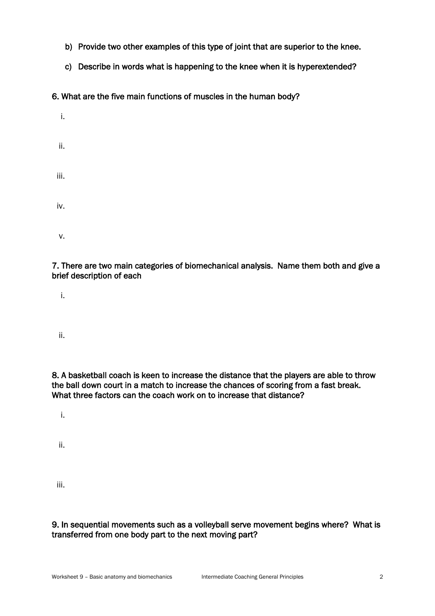- b) Provide two other examples of this type of joint that are superior to the knee.
- c) Describe in words what is happening to the knee when it is hyperextended?

6. What are the five main functions of muscles in the human body?

| i.   |  |  |  |
|------|--|--|--|
| ii.  |  |  |  |
| iii. |  |  |  |
| iv.  |  |  |  |
| ٧.   |  |  |  |

7. There are two main categories of biomechanical analysis. Name them both and give a brief description of each

i.

ii.

8. A basketball coach is keen to increase the distance that the players are able to throw the ball down court in a match to increase the chances of scoring from a fast break. What three factors can the coach work on to increase that distance?

i.

ii.

iii.

9. In sequential movements such as a volleyball serve movement begins where? What is transferred from one body part to the next moving part?